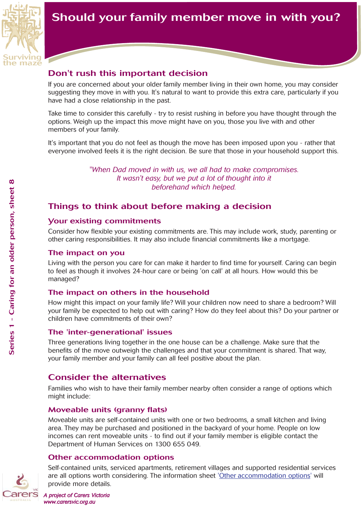

# Should your family member move in with you?

## Don't rush this important decision

If you are concerned about your older family member living in their own home, you may consider suggesting they move in with you. It's natural to want to provide this extra care, particularly if you have had a close relationship in the past.

Take time to consider this carefully - try to resist rushing in before you have thought through the options. Weigh up the impact this move might have on you, those you live with and other members of your family.

It's important that you do not feel as though the move has been imposed upon you - rather that everyone involved feels it is the right decision. Be sure that those in your household support this.

> *"When Dad moved in with us, we all had to make compromises. It wasn't easy, but we put a lot of thought into it beforehand which helped.*

## Things to think about before making a decision

#### Your existing commitments

Consider how flexible your existing commitments are. This may include work, study, parenting or other caring responsibilities. It may also include financial commitments like a mortgage.

#### The impact on you

Living with the person you care for can make it harder to find time for yourself. Caring can begin to feel as though it involves 24-hour care or being 'on call' at all hours. How would this be managed?

## The impact on others in the household

How might this impact on your family life? Will your children now need to share a bedroom? Will your family be expected to help out with caring? How do they feel about this? Do your partner or children have commitments of their own?

## The 'inter-generational' issues

Three generations living together in the one house can be a challenge. Make sure that the benefits of the move outweigh the challenges and that your commitment is shared. That way, your family member and your family can all feel positive about the plan.

## Consider the alternatives

Families who wish to have their family member nearby often consider a range of options which might include:

## Moveable units (granny flats)

Moveable units are self-contained units with one or two bedrooms, a small kitchen and living area. They may be purchased and positioned in the backyard of your home. People on low incomes can rent moveable units - to find out if your family member is eligible contact the Department of Human Services on 1300 655 049.

## Other accommodation options

Self-contained units, serviced apartments, retirement villages and supported residential services are all options worth considering. The information sheet 'Other accommodation options' will provide more details.